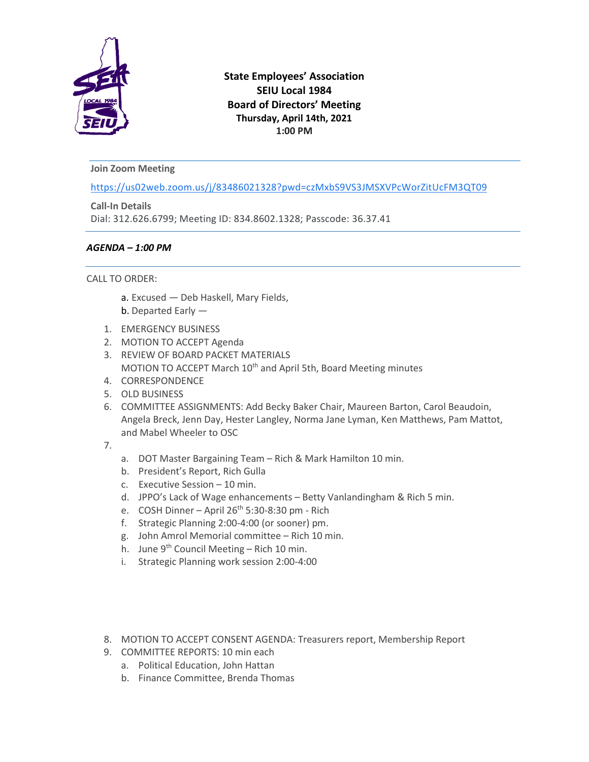

# **State Employees' Association SEIU Local 1984 Board of Directors' Meeting Thursday, April 14th, 2021 1:00 PM**

## **Join Zoom Meeting**

[https://us02web.zoom.us/j/83486021328?pwd=czMxbS9VS3JMSXVPcWorZitUcFM3QT09](https://www.google.com/url?q=https://us02web.zoom.us/j/83486021328?pwd%3DczMxbS9VS3JMSXVPcWorZitUcFM3QT09&sa=D&source=calendar&ust=1625678194422000&usg=AOvVaw0nRqMARe94VRb2c7JL9DTg)

**Call-In Details** Dial: 312.626.6799; Meeting ID: 834.8602.1328; Passcode: 36.37.41

## *AGENDA – 1:00 PM*

## CALL TO ORDER:

- a. Excused Deb Haskell, Mary Fields,
- b. Departed Early —
- 1. EMERGENCY BUSINESS
- 2. MOTION TO ACCEPT Agenda
- 3. REVIEW OF BOARD PACKET MATERIALS MOTION TO ACCEPT March 10<sup>th</sup> and April 5th, Board Meeting minutes
- 4. CORRESPONDENCE
- 5. OLD BUSINESS
- 6. COMMITTEE ASSIGNMENTS: Add Becky Baker Chair, Maureen Barton, Carol Beaudoin, Angela Breck, Jenn Day, Hester Langley, Norma Jane Lyman, Ken Matthews, Pam Mattot, and Mabel Wheeler to OSC
- 7.
- a. DOT Master Bargaining Team Rich & Mark Hamilton 10 min.
- b. President's Report, Rich Gulla
- c. Executive Session 10 min.
- d. JPPO's Lack of Wage enhancements Betty Vanlandingham & Rich 5 min.
- e. COSH Dinner April  $26<sup>th</sup> 5:30-8:30$  pm Rich
- f. Strategic Planning 2:00-4:00 (or sooner) pm.
- g. John Amrol Memorial committee Rich 10 min.
- h. June  $9<sup>th</sup>$  Council Meeting Rich 10 min.
- i. Strategic Planning work session 2:00-4:00
- 8. MOTION TO ACCEPT CONSENT AGENDA: Treasurers report, Membership Report
- 9. COMMITTEE REPORTS: 10 min each
	- a. Political Education, John Hattan
	- b. Finance Committee, Brenda Thomas